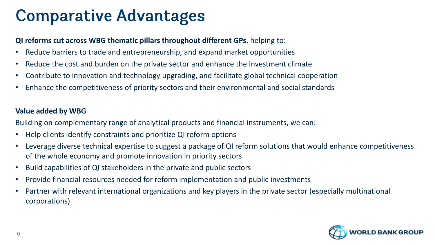# **Comparative Advantages**

#### **QI reforms cut across WBG thematic pillars throughout different GPs**, helping to:

- Reduce barriers to trade and entrepreneurship, and expand market opportunities
- Reduce the cost and burden on the private sector and enhance the investment climate
- Contribute to innovation and technology upgrading, and facilitate global technical cooperation
- Enhance the competitiveness of priority sectors and their environmental and social standards

### **Value added by WBG**

Building on complementary range of analytical products and financial instruments, we can:

- Help clients identify constraints and prioritize QI reform options
- Leverage diverse technical expertise to suggest a package of QI reform solutions that would enhance competitiveness of the whole economy and promote innovation in priority sectors
- Build capabilities of QI stakeholders in the private and public sectors
- Provide financial resources needed for reform implementation and public investments
- Partner with relevant international organizations and key players in the private sector (especially multinational corporations)

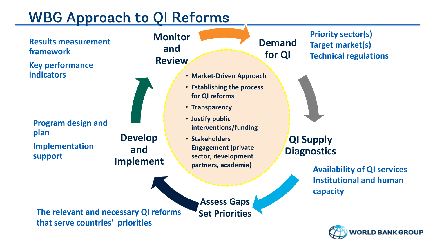### **WBG Approach to QI Reforms**

**Develop** 

**and** 

**Implement**

**Results measurement framework** 

**Key performance indicators** 

**Program design and plan Implementation support** 

**Monitor and Review**



• **Market-Driven Approach**

- **Establishing the process for QI reforms**
- **Transparency**
- **Justify public interventions/funding**
- **Stakeholders Engagement (private sector, development partners, academia)**

**Demand for QI**

**QI Supply Diagnostics**

> **Availability of QI services Institutional and human capacity**

**Priority sector(s)**

**Target market(s)**

**Technical regulations**

**The relevant and necessary QI reforms that serve countries' priorities** 

**Assess Gaps Set Priorities**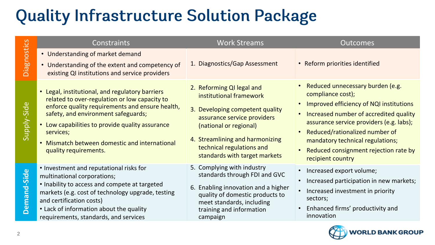# **Quality Infrastructure Solution Package**

| ပိ             | Constraints                                                                                                                                                                                                                                                                                                                      | <b>Work Streams</b>                                                                                                                                                                                                                               | <b>Outcomes</b>                                                                                                                                                                                                                                                                                                                  |
|----------------|----------------------------------------------------------------------------------------------------------------------------------------------------------------------------------------------------------------------------------------------------------------------------------------------------------------------------------|---------------------------------------------------------------------------------------------------------------------------------------------------------------------------------------------------------------------------------------------------|----------------------------------------------------------------------------------------------------------------------------------------------------------------------------------------------------------------------------------------------------------------------------------------------------------------------------------|
| osti<br>Diagno | • Understanding of market demand<br>• Understanding of the extent and competency of<br>existing QI institutions and service providers                                                                                                                                                                                            | 1. Diagnostics/Gap Assessment                                                                                                                                                                                                                     | • Reform priorities identified                                                                                                                                                                                                                                                                                                   |
| Supply-Side    | • Legal, institutional, and regulatory barriers<br>related to over-regulation or low capacity to<br>enforce quality requirements and ensure health,<br>safety, and environment safeguards;<br>Low capabilities to provide quality assurance<br>services;<br>Mismatch between domestic and international<br>quality requirements. | 2. Reforming QI legal and<br>institutional framework<br>3. Developing competent quality<br>assurance service providers<br>(national or regional)<br>4. Streamlining and harmonizing<br>technical regulations and<br>standards with target markets | • Reduced unnecessary burden (e.g.<br>compliance cost);<br>• Improved efficiency of NQI institutions<br>Increased number of accredited quality<br>assurance service providers (e.g. labs);<br>• Reduced/rationalized number of<br>mandatory technical regulations;<br>Reduced consignment rejection rate by<br>recipient country |
| Demand-Side    | • Investment and reputational risks for<br>multinational corporations;<br>• Inability to access and compete at targeted<br>markets (e.g. cost of technology upgrade, testing<br>and certification costs)<br>• Lack of information about the quality<br>requirements, standards, and services                                     | 5. Complying with industry<br>standards through FDI and GVC<br>6. Enabling innovation and a higher<br>quality of domestic products to<br>meet standards, including<br>training and information<br>campaign                                        | Increased export volume;<br>Increased participation in new markets;<br>Increased investment in priority<br>sectors;<br>Enhanced firms' productivity and<br>innovation                                                                                                                                                            |

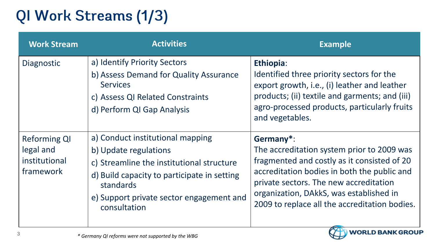# QI Work Streams (1/3)

| <b>Work Stream</b>                                             | <b>Activities</b>                                                                                                                                                                                                              | <b>Example</b>                                                                                                                                                                                                                                                                              |
|----------------------------------------------------------------|--------------------------------------------------------------------------------------------------------------------------------------------------------------------------------------------------------------------------------|---------------------------------------------------------------------------------------------------------------------------------------------------------------------------------------------------------------------------------------------------------------------------------------------|
| Diagnostic                                                     | a) Identify Priority Sectors<br>b) Assess Demand for Quality Assurance<br><b>Services</b><br>c) Assess QI Related Constraints<br>d) Perform QI Gap Analysis                                                                    | Ethiopia:<br>Identified three priority sectors for the<br>export growth, i.e., (i) leather and leather<br>products; (ii) textile and garments; and (iii)<br>agro-processed products, particularly fruits<br>and vegetables.                                                                 |
| <b>Reforming QI</b><br>legal and<br>institutional<br>framework | a) Conduct institutional mapping<br>b) Update regulations<br>c) Streamline the institutional structure<br>d) Build capacity to participate in setting<br>standards<br>e) Support private sector engagement and<br>consultation | Germany*:<br>The accreditation system prior to 2009 was<br>fragmented and costly as it consisted of 20<br>accreditation bodies in both the public and<br>private sectors. The new accreditation<br>organization, DAkkS, was established in<br>2009 to replace all the accreditation bodies. |

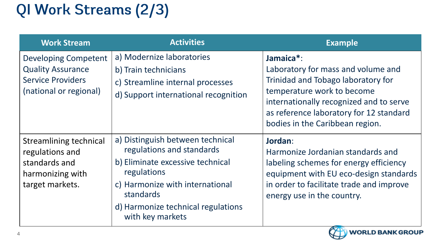# QI Work Streams (2/3)

| <b>Work Stream</b>                                                                                     | <b>Activities</b>                                                                                                                                                                                                                 | <b>Example</b>                                                                                                                                                                                                                               |
|--------------------------------------------------------------------------------------------------------|-----------------------------------------------------------------------------------------------------------------------------------------------------------------------------------------------------------------------------------|----------------------------------------------------------------------------------------------------------------------------------------------------------------------------------------------------------------------------------------------|
| Developing Competent<br><b>Quality Assurance</b><br><b>Service Providers</b><br>(national or regional) | a) Modernize laboratories<br>b) Train technicians<br>c) Streamline internal processes<br>d) Support international recognition                                                                                                     | Jamaica*:<br>Laboratory for mass and volume and<br>Trinidad and Tobago laboratory for<br>temperature work to become<br>internationally recognized and to serve<br>as reference laboratory for 12 standard<br>bodies in the Caribbean region. |
| Streamlining technical<br>regulations and<br>standards and<br>harmonizing with<br>target markets.      | a) Distinguish between technical<br>regulations and standards<br>b) Eliminate excessive technical<br>regulations<br>c) Harmonize with international<br><b>standards</b><br>d) Harmonize technical regulations<br>with key markets | Jordan:<br>Harmonize Jordanian standards and<br>labeling schemes for energy efficiency<br>equipment with EU eco-design standards<br>in order to facilitate trade and improve<br>energy use in the country.                                   |